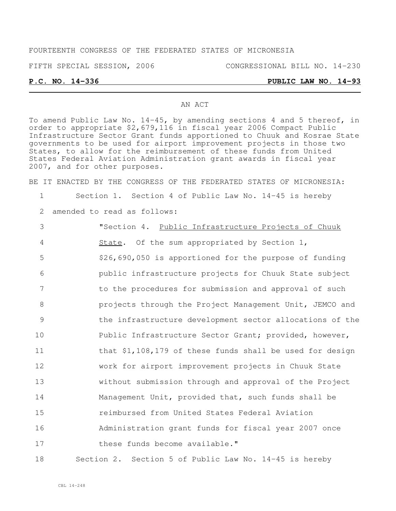### FOURTEENTH CONGRESS OF THE FEDERATED STATES OF MICRONESIA

FIFTH SPECIAL SESSION, 2006 CONGRESSIONAL BILL NO. 14-230

### **P.C. NO. 14-336 PUBLIC LAW NO. 14-93**

#### AN ACT

To amend Public Law No. 14-45, by amending sections 4 and 5 thereof, in order to appropriate \$2,679,116 in fiscal year 2006 Compact Public Infrastructure Sector Grant funds apportioned to Chuuk and Kosrae State governments to be used for airport improvement projects in those two States, to allow for the reimbursement of these funds from United States Federal Aviation Administration grant awards in fiscal year 2007, and for other purposes.

BE IT ENACTED BY THE CONGRESS OF THE FEDERATED STATES OF MICRONESIA:

1 Section 1. Section 4 of Public Law No. 14-45 is hereby

2 amended to read as follows:

 "Section 4. Public Infrastructure Projects of Chuuk 4 State. Of the sum appropriated by Section 1, \$26,690,050 is apportioned for the purpose of funding public infrastructure projects for Chuuk State subject to the procedures for submission and approval of such **business projects** through the Project Management Unit, JEMCO and the infrastructure development sector allocations of the 10 Public Infrastructure Sector Grant; provided, however, 11 that \$1,108,179 of these funds shall be used for design work for airport improvement projects in Chuuk State without submission through and approval of the Project Management Unit, provided that, such funds shall be reimbursed from United States Federal Aviation Administration grant funds for fiscal year 2007 once 17 these funds become available."

18 Section 2. Section 5 of Public Law No. 14-45 is hereby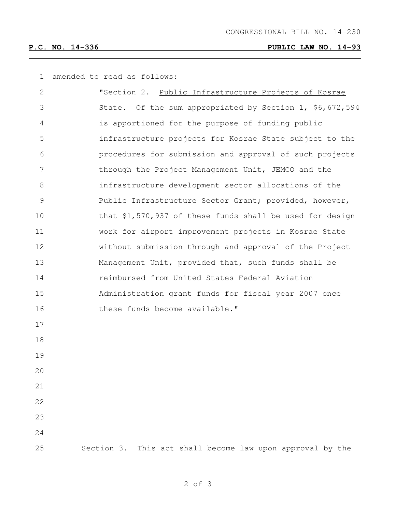# **P.C. NO. 14-336 PUBLIC LAW NO. 14-93**

amended to read as follows:

| 2  | "Section 2. Public Infrastructure Projects of Kosrae         |
|----|--------------------------------------------------------------|
| 3  | State. Of the sum appropriated by Section 1, \$6,672,594     |
| 4  | is apportioned for the purpose of funding public             |
| 5  | infrastructure projects for Kosrae State subject to the      |
| 6  | procedures for submission and approval of such projects      |
| 7  | through the Project Management Unit, JEMCO and the           |
| 8  | infrastructure development sector allocations of the         |
| 9  | Public Infrastructure Sector Grant; provided, however,       |
| 10 | that \$1,570,937 of these funds shall be used for design     |
| 11 | work for airport improvement projects in Kosrae State        |
| 12 | without submission through and approval of the Project       |
| 13 | Management Unit, provided that, such funds shall be          |
| 14 | reimbursed from United States Federal Aviation               |
| 15 | Administration grant funds for fiscal year 2007 once         |
| 16 | these funds become available."                               |
| 17 |                                                              |
| 18 |                                                              |
| 19 |                                                              |
| 20 |                                                              |
| 21 |                                                              |
| 22 |                                                              |
| 23 |                                                              |
| 24 |                                                              |
| 25 | This act shall become law upon approval by the<br>Section 3. |